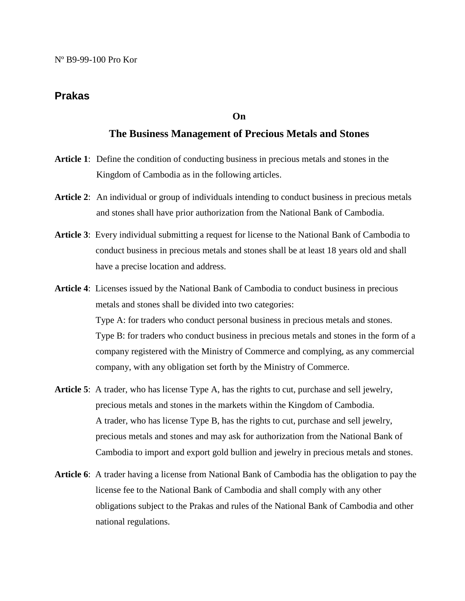## **Prakas**

## **On**

## **The Business Management of Precious Metals and Stones**

- **Article 1**: Define the condition of conducting business in precious metals and stones in the Kingdom of Cambodia as in the following articles.
- **Article 2**: An individual or group of individuals intending to conduct business in precious metals and stones shall have prior authorization from the National Bank of Cambodia.
- **Article 3**: Every individual submitting a request for license to the National Bank of Cambodia to conduct business in precious metals and stones shall be at least 18 years old and shall have a precise location and address.
- **Article 4**: Licenses issued by the National Bank of Cambodia to conduct business in precious metals and stones shall be divided into two categories: Type A: for traders who conduct personal business in precious metals and stones. Type B: for traders who conduct business in precious metals and stones in the form of a company registered with the Ministry of Commerce and complying, as any commercial company, with any obligation set forth by the Ministry of Commerce.
- **Article 5**: A trader, who has license Type A, has the rights to cut, purchase and sell jewelry, precious metals and stones in the markets within the Kingdom of Cambodia. A trader, who has license Type B, has the rights to cut, purchase and sell jewelry, precious metals and stones and may ask for authorization from the National Bank of Cambodia to import and export gold bullion and jewelry in precious metals and stones.
- **Article 6**: A trader having a license from National Bank of Cambodia has the obligation to pay the license fee to the National Bank of Cambodia and shall comply with any other obligations subject to the Prakas and rules of the National Bank of Cambodia and other national regulations.